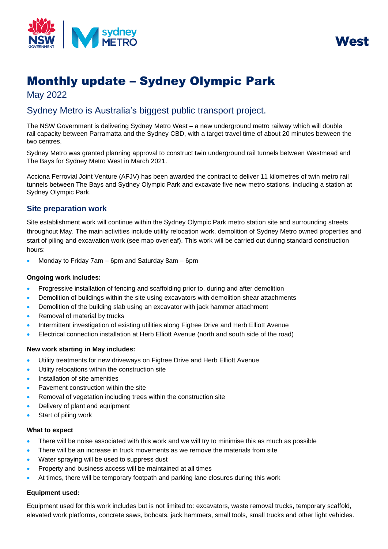



# Monthly update – Sydney Olympic Park

May 2022

# Sydney Metro is Australia's biggest public transport project.

The NSW Government is delivering Sydney Metro West – a new underground metro railway which will double rail capacity between Parramatta and the Sydney CBD, with a target travel time of about 20 minutes between the two centres.

Sydney Metro was granted planning approval to construct twin underground rail tunnels between Westmead and The Bays for Sydney Metro West in March 2021.

Acciona Ferrovial Joint Venture (AFJV) has been awarded the contract to deliver 11 kilometres of twin metro rail tunnels between The Bays and Sydney Olympic Park and excavate five new metro stations, including a station at Sydney Olympic Park.

# **Site preparation work**

Site establishment work will continue within the Sydney Olympic Park metro station site and surrounding streets throughout May. The main activities include utility relocation work, demolition of Sydney Metro owned properties and start of piling and excavation work (see map overleaf). This work will be carried out during standard construction hours:

• Monday to Friday 7am – 6pm and Saturday 8am – 6pm

# **Ongoing work includes:**

- Progressive installation of fencing and scaffolding prior to, during and after demolition
- Demolition of buildings within the site using excavators with demolition shear attachments
- Demolition of the building slab using an excavator with jack hammer attachment
- Removal of material by trucks
- Intermittent investigation of existing utilities along Figtree Drive and Herb Elliott Avenue
- Electrical connection installation at Herb Elliott Avenue (north and south side of the road)

# **New work starting in May includes:**

- Utility treatments for new driveways on Figtree Drive and Herb Elliott Avenue
- Utility relocations within the construction site
- Installation of site amenities
- Pavement construction within the site
- Removal of vegetation including trees within the construction site
- Delivery of plant and equipment
- Start of piling work

#### **What to expect**

- There will be noise associated with this work and we will try to minimise this as much as possible
- There will be an increase in truck movements as we remove the materials from site
- Water spraying will be used to suppress dust
- Property and business access will be maintained at all times
- At times, there will be temporary footpath and parking lane closures during this work

# **Equipment used:**

Equipment used for this work includes but is not limited to: excavators, waste removal trucks, temporary scaffold, elevated work platforms, concrete saws, bobcats, jack hammers, small tools, small trucks and other light vehicles.